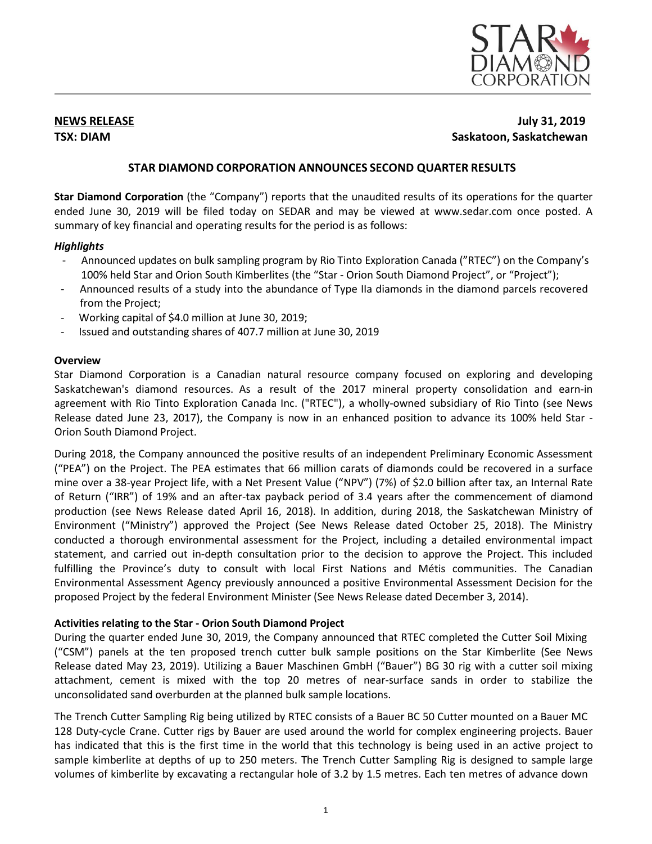

# **NEWS RELEASE July 31, 2019 TSX: DIAM Saskatoon, Saskatchewan**

# **STAR DIAMOND CORPORATION ANNOUNCES SECOND QUARTER RESULTS**

**Star Diamond Corporation** (the "Company") reports that the unaudited results of its operations for the quarter ended June 30, 2019 will be filed today on SEDAR and may be viewed at [www.sedar.com](http://www.sedar.com/) once posted. A summary of key financial and operating results for the period is as follows:

## *Highlights*

- Announced updates on bulk sampling program by Rio Tinto Exploration Canada ("RTEC") on the Company's 100% held Star and Orion South Kimberlites (the "Star - Orion South Diamond Project", or "Project");
- Announced results of a study into the abundance of Type IIa diamonds in the diamond parcels recovered from the Project;
- Working capital of \$4.0 million at June 30, 2019;
- Issued and outstanding shares of 407.7 million at June 30, 2019

# **Overview**

Star Diamond Corporation is a Canadian natural resource company focused on exploring and developing Saskatchewan's diamond resources. As a result of the 2017 mineral property consolidation and earn-in agreement with Rio Tinto Exploration Canada Inc. ("RTEC"), a wholly-owned subsidiary of Rio Tinto (see News Release dated June 23, 2017), the Company is now in an enhanced position to advance its 100% held Star - Orion South Diamond Project.

During 2018, the Company announced the positive results of an independent Preliminary Economic Assessment ("PEA") on the Project. The PEA estimates that 66 million carats of diamonds could be recovered in a surface mine over a 38-year Project life, with a Net Present Value ("NPV") (7%) of \$2.0 billion after tax, an Internal Rate of Return ("IRR") of 19% and an after-tax payback period of 3.4 years after the commencement of diamond production (see News Release dated April 16, 2018). In addition, during 2018, the Saskatchewan Ministry of Environment ("Ministry") approved the Project (See News Release dated October 25, 2018). The Ministry conducted a thorough environmental assessment for the Project, including a detailed environmental impact statement, and carried out in-depth consultation prior to the decision to approve the Project. This included fulfilling the Province's duty to consult with local First Nations and Métis communities. The Canadian Environmental Assessment Agency previously announced a positive Environmental Assessment Decision for the proposed Project by the federal Environment Minister (See News Release dated December 3, 2014).

# **Activities relating to the Star - Orion South Diamond Project**

During the quarter ended June 30, 2019, the Company announced that RTEC completed the Cutter Soil Mixing ("CSM") panels at the ten proposed trench cutter bulk sample positions on the Star Kimberlite (See News Release dated May 23, 2019). Utilizing a Bauer Maschinen GmbH ("Bauer") BG 30 rig with a cutter soil mixing attachment, cement is mixed with the top 20 metres of near-surface sands in order to stabilize the unconsolidated sand overburden at the planned bulk sample locations.

The Trench Cutter Sampling Rig being utilized by RTEC consists of a Bauer BC 50 Cutter mounted on a Bauer MC 128 Duty-cycle Crane. Cutter rigs by Bauer are used around the world for complex engineering projects. Bauer has indicated that this is the first time in the world that this technology is being used in an active project to sample kimberlite at depths of up to 250 meters. The Trench Cutter Sampling Rig is designed to sample large volumes of kimberlite by excavating a rectangular hole of 3.2 by 1.5 metres. Each ten metres of advance down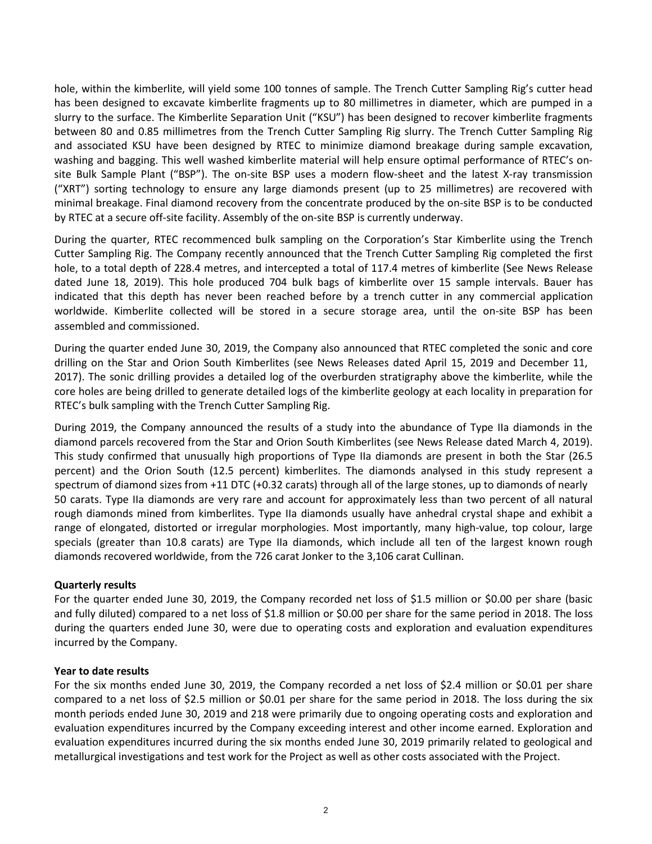hole, within the kimberlite, will yield some 100 tonnes of sample. The Trench Cutter Sampling Rig's cutter head has been designed to excavate kimberlite fragments up to 80 millimetres in diameter, which are pumped in a slurry to the surface. The Kimberlite Separation Unit ("KSU") has been designed to recover kimberlite fragments between 80 and 0.85 millimetres from the Trench Cutter Sampling Rig slurry. The Trench Cutter Sampling Rig and associated KSU have been designed by RTEC to minimize diamond breakage during sample excavation, washing and bagging. This well washed kimberlite material will help ensure optimal performance of RTEC's onsite Bulk Sample Plant ("BSP"). The on-site BSP uses a modern flow-sheet and the latest X-ray transmission ("XRT") sorting technology to ensure any large diamonds present (up to 25 millimetres) are recovered with minimal breakage. Final diamond recovery from the concentrate produced by the on-site BSP is to be conducted by RTEC at a secure off-site facility. Assembly of the on-site BSP is currently underway.

During the quarter, RTEC recommenced bulk sampling on the Corporation's Star Kimberlite using the Trench Cutter Sampling Rig. The Company recently announced that the Trench Cutter Sampling Rig completed the first hole, to a total depth of 228.4 metres, and intercepted a total of 117.4 metres of kimberlite (See News Release dated June 18, 2019). This hole produced 704 bulk bags of kimberlite over 15 sample intervals. Bauer has indicated that this depth has never been reached before by a trench cutter in any commercial application worldwide. Kimberlite collected will be stored in a secure storage area, until the on-site BSP has been assembled and commissioned.

During the quarter ended June 30, 2019, the Company also announced that RTEC completed the sonic and core drilling on the Star and Orion South Kimberlites (see News Releases dated April 15, 2019 and December 11, 2017). The sonic drilling provides a detailed log of the overburden stratigraphy above the kimberlite, while the core holes are being drilled to generate detailed logs of the kimberlite geology at each locality in preparation for RTEC's bulk sampling with the Trench Cutter Sampling Rig.

During 2019, the Company announced the results of a study into the abundance of Type IIa diamonds in the diamond parcels recovered from the Star and Orion South Kimberlites (see News Release dated March 4, 2019). This study confirmed that unusually high proportions of Type IIa diamonds are present in both the Star (26.5 percent) and the Orion South (12.5 percent) kimberlites. The diamonds analysed in this study represent a spectrum of diamond sizes from +11 DTC (+0.32 carats) through all of the large stones, up to diamonds of nearly 50 carats. Type IIa diamonds are very rare and account for approximately less than two percent of all natural rough diamonds mined from kimberlites. Type IIa diamonds usually have anhedral crystal shape and exhibit a range of elongated, distorted or irregular morphologies. Most importantly, many high-value, top colour, large specials (greater than 10.8 carats) are Type IIa diamonds, which include all ten of the largest known rough diamonds recovered worldwide, from the 726 carat Jonker to the 3,106 carat Cullinan.

#### **Quarterly results**

For the quarter ended June 30, 2019, the Company recorded net loss of \$1.5 million or \$0.00 per share (basic and fully diluted) compared to a net loss of \$1.8 million or \$0.00 per share for the same period in 2018. The loss during the quarters ended June 30, were due to operating costs and exploration and evaluation expenditures incurred by the Company.

#### **Year to date results**

For the six months ended June 30, 2019, the Company recorded a net loss of \$2.4 million or \$0.01 per share compared to a net loss of \$2.5 million or \$0.01 per share for the same period in 2018. The loss during the six month periods ended June 30, 2019 and 218 were primarily due to ongoing operating costs and exploration and evaluation expenditures incurred by the Company exceeding interest and other income earned. Exploration and evaluation expenditures incurred during the six months ended June 30, 2019 primarily related to geological and metallurgical investigations and test work for the Project as well as other costs associated with the Project.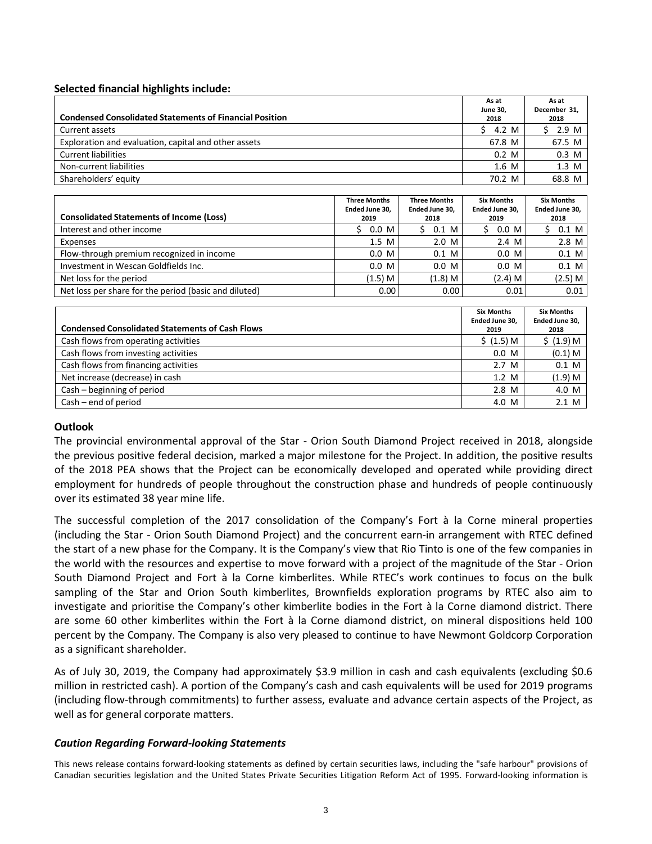## **Selected financial highlights include:**

|                                                                | As at           | As at           |
|----------------------------------------------------------------|-----------------|-----------------|
|                                                                | <b>June 30.</b> | December 31.    |
| <b>Condensed Consolidated Statements of Financial Position</b> | 2018            | 2018            |
| Current assets                                                 | 4.2 M           | \$ 2.9 M        |
| Exploration and evaluation, capital and other assets           | 67.8 M          | 67.5 M          |
| Current liabilities                                            | $0.2 \,$ M      | $0.3$ M         |
| Non-current liabilities                                        | $1.6$ M         | $1.3 \text{ M}$ |
| Shareholders' equity                                           | 70.2 M          | 68.8 M          |

| <b>Consolidated Statements of Income (Loss)</b>       | <b>Three Months</b><br>Ended June 30.<br>2019 | <b>Three Months</b><br>Ended June 30.<br>2018 | <b>Six Months</b><br>Ended June 30.<br>2019 | <b>Six Months</b><br>Ended June 30.<br>2018 |
|-------------------------------------------------------|-----------------------------------------------|-----------------------------------------------|---------------------------------------------|---------------------------------------------|
| Interest and other income                             | $0.0\,$ M                                     | 0.1 M<br>S.                                   | $0.0\,$ M                                   | $0.1$ M                                     |
| Expenses                                              | $1.5$ M                                       | 2.0 M                                         | 2.4 M                                       | $2.8$ M                                     |
| Flow-through premium recognized in income             | $0.0\,$ M                                     | $0.1$ M                                       | $0.0\,$ M                                   | $0.1$ M                                     |
| Investment in Wescan Goldfields Inc.                  | $0.0\,$ M                                     | $0.0\,$ M                                     | $0.0\,$ M                                   | $0.1$ M                                     |
| Net loss for the period                               | (1.5) M                                       | $(1.8)$ M                                     | $(2.4)$ M                                   | (2.5) M                                     |
| Net loss per share for the period (basic and diluted) | 0.00                                          | 0.00                                          | 0.01                                        | 0.01                                        |

| <b>Condensed Consolidated Statements of Cash Flows</b> | <b>Six Months</b><br>Ended June 30,<br>2019 | <b>Six Months</b><br>Ended June 30,<br>2018 |
|--------------------------------------------------------|---------------------------------------------|---------------------------------------------|
| Cash flows from operating activities                   | \$ (1.5) M                                  | \$ (1.9) M                                  |
| Cash flows from investing activities                   | 0.0 M                                       | $(0.1)$ M                                   |
| Cash flows from financing activities                   | 2.7 <sub>M</sub>                            | $0.1$ M                                     |
| Net increase (decrease) in cash                        | 1.2 M                                       | (1.9) M                                     |
| Cash - beginning of period                             | $2.8$ M                                     | 4.0 M                                       |
| $Cash - end of period$                                 | 4.0 M                                       | 2.1 M                                       |

### **Outlook**

The provincial environmental approval of the Star - Orion South Diamond Project received in 2018, alongside the previous positive federal decision, marked a major milestone for the Project. In addition, the positive results of the 2018 PEA shows that the Project can be economically developed and operated while providing direct employment for hundreds of people throughout the construction phase and hundreds of people continuously over its estimated 38 year mine life.

The successful completion of the 2017 consolidation of the Company's Fort à la Corne mineral properties (including the Star - Orion South Diamond Project) and the concurrent earn-in arrangement with RTEC defined the start of a new phase for the Company. It is the Company's view that Rio Tinto is one of the few companies in the world with the resources and expertise to move forward with a project of the magnitude of the Star - Orion South Diamond Project and Fort à la Corne kimberlites. While RTEC's work continues to focus on the bulk sampling of the Star and Orion South kimberlites, Brownfields exploration programs by RTEC also aim to investigate and prioritise the Company's other kimberlite bodies in the Fort à la Corne diamond district. There are some 60 other kimberlites within the Fort à la Corne diamond district, on mineral dispositions held 100 percent by the Company. The Company is also very pleased to continue to have Newmont Goldcorp Corporation as a significant shareholder.

As of July 30, 2019, the Company had approximately \$3.9 million in cash and cash equivalents (excluding \$0.6 million in restricted cash). A portion of the Company's cash and cash equivalents will be used for 2019 programs (including flow-through commitments) to further assess, evaluate and advance certain aspects of the Project, as well as for general corporate matters.

#### *Caution Regarding Forward-looking Statements*

This news release contains forward-looking statements as defined by certain securities laws, including the "safe harbour" provisions of Canadian securities legislation and the United States Private Securities Litigation Reform Act of 1995. Forward-looking information is